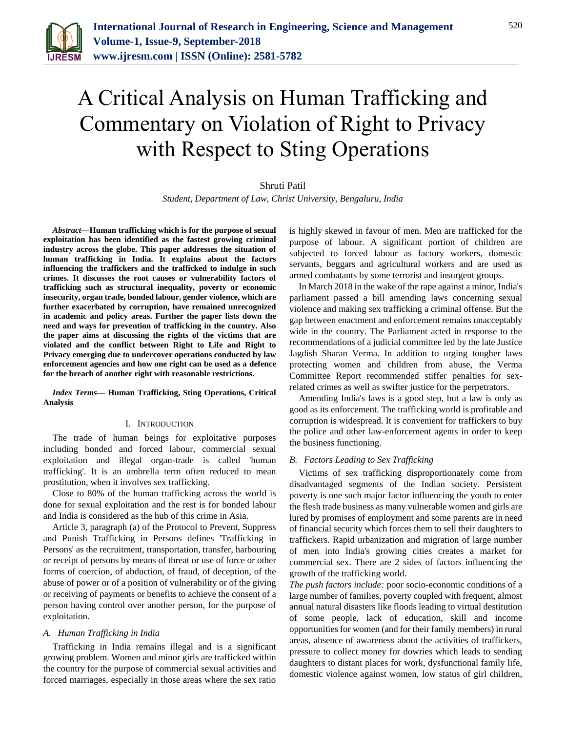

# A Critical Analysis on Human Trafficking and Commentary on Violation of Right to Privacy with Respect to Sting Operations

# Shruti Patil

*Student, Department of Law, Christ University, Bengaluru, India*

*Abstract***—Human trafficking which is for the purpose of sexual exploitation has been identified as the fastest growing criminal industry across the globe. This paper addresses the situation of human trafficking in India. It explains about the factors influencing the traffickers and the trafficked to indulge in such crimes. It discusses the root causes or vulnerability factors of trafficking such as structural inequality, poverty or economic insecurity, organ trade, bonded labour, gender violence, which are further exacerbated by corruption, have remained unrecognized in academic and policy areas. Further the paper lists down the need and ways for prevention of trafficking in the country. Also the paper aims at discussing the rights of the victims that are violated and the conflict between Right to Life and Right to Privacy emerging due to undercover operations conducted by law enforcement agencies and how one right can be used as a defence for the breach of another right with reasonable restrictions.**

*Index Terms***— Human Trafficking, Sting Operations, Critical Analysis**

#### I. INTRODUCTION

The trade of human beings for exploitative purposes including bonded and forced labour, commercial sexual exploitation and illegal organ-trade is called 'human trafficking'. It is an umbrella term often reduced to mean prostitution, when it involves sex trafficking.

Close to 80% of the human trafficking across the world is done for sexual exploitation and the rest is for bonded labour and India is considered as the hub of this crime in Asia.

Article 3, paragraph (a) of the Protocol to Prevent, Suppress and Punish Trafficking in Persons defines 'Trafficking in Persons' as the recruitment, transportation, transfer, harbouring or receipt of persons by means of threat or use of force or other forms of coercion, of abduction, of fraud, of deception, of the abuse of power or of a position of vulnerability or of the giving or receiving of payments or benefits to achieve the consent of a person having control over another person, for the purpose of exploitation.

#### *A. Human Trafficking in India*

Trafficking in India remains illegal and is a significant growing problem. Women and minor girls are trafficked within the country for the purpose of commercial sexual activities and forced marriages, especially in those areas where the sex ratio

is highly skewed in favour of men. Men are trafficked for the purpose of labour. A significant portion of children are subjected to forced labour as factory workers, domestic servants, beggars and agricultural workers and are used as armed combatants by some terrorist and insurgent groups.

In March 2018 in the wake of the rape against a minor, India's parliament passed a bill amending laws concerning sexual violence and making sex trafficking a criminal offense. But the gap between enactment and enforcement remains unacceptably wide in the country. The Parliament acted in response to the recommendations of a judicial committee led by the late Justice Jagdish Sharan Verma. In addition to urging tougher laws protecting women and children from abuse, the Verma Committee Report recommended stiffer penalties for sexrelated crimes as well as swifter justice for the perpetrators.

Amending India's laws is a good step, but a law is only as good as its enforcement. The trafficking world is profitable and corruption is widespread. It is convenient for traffickers to buy the police and other law-enforcement agents in order to keep the business functioning.

### *B. Factors Leading to Sex Trafficking*

Victims of sex trafficking disproportionately come from disadvantaged segments of the Indian society. Persistent poverty is one such major factor influencing the youth to enter the flesh trade business as many vulnerable women and girls are lured by promises of employment and some parents are in need of financial security which forces them to sell their daughters to traffickers. Rapid urbanization and migration of large number of men into India's growing cities creates a market for commercial sex. There are 2 sides of factors influencing the growth of the trafficking world.

*The push factors include:* poor socio-economic conditions of a large number of families, poverty coupled with frequent, almost annual natural disasters like floods leading to virtual destitution of some people, lack of education, skill and income opportunities for women (and for their family members) in rural areas, absence of awareness about the activities of traffickers, pressure to collect money for dowries which leads to sending daughters to distant places for work, dysfunctional family life, domestic violence against women, low status of girl children,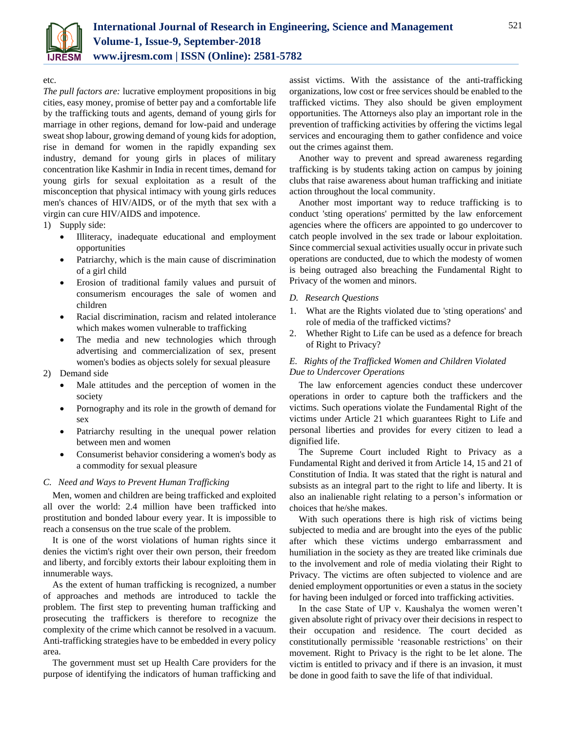

## etc.

*The pull factors are:* lucrative employment propositions in big cities, easy money, promise of better pay and a comfortable life by the trafficking touts and agents, demand of young girls for marriage in other regions, demand for low-paid and underage sweat shop labour, growing demand of young kids for adoption, rise in demand for women in the rapidly expanding sex industry, demand for young girls in places of military concentration like Kashmir in India in recent times, demand for young girls for sexual exploitation as a result of the misconception that physical intimacy with young girls reduces men's chances of HIV/AIDS, or of the myth that sex with a virgin can cure HIV/AIDS and impotence.

1) Supply side:

- Illiteracy, inadequate educational and employment opportunities
- Patriarchy, which is the main cause of discrimination of a girl child
- Erosion of traditional family values and pursuit of consumerism encourages the sale of women and children
- Racial discrimination, racism and related intolerance which makes women vulnerable to trafficking
- The media and new technologies which through advertising and commercialization of sex, present women's bodies as objects solely for sexual pleasure
- 2) Demand side
	- Male attitudes and the perception of women in the society
	- Pornography and its role in the growth of demand for sex
	- Patriarchy resulting in the unequal power relation between men and women
	- Consumerist behavior considering a women's body as a commodity for sexual pleasure

# *C. Need and Ways to Prevent Human Trafficking*

Men, women and children are being trafficked and exploited all over the world: 2.4 million have been trafficked into prostitution and bonded labour every year. It is impossible to reach a consensus on the true scale of the problem.

It is one of the worst violations of human rights since it denies the victim's right over their own person, their freedom and liberty, and forcibly extorts their labour exploiting them in innumerable ways.

As the extent of human trafficking is recognized, a number of approaches and methods are introduced to tackle the problem. The first step to preventing human trafficking and prosecuting the traffickers is therefore to recognize the complexity of the crime which cannot be resolved in a vacuum. Anti-trafficking strategies have to be embedded in every policy area.

The government must set up Health Care providers for the purpose of identifying the indicators of human trafficking and assist victims. With the assistance of the anti-trafficking organizations, low cost or free services should be enabled to the trafficked victims. They also should be given employment opportunities. The Attorneys also play an important role in the prevention of trafficking activities by offering the victims legal services and encouraging them to gather confidence and voice out the crimes against them.

Another way to prevent and spread awareness regarding trafficking is by students taking action on campus by joining clubs that raise awareness about human trafficking and initiate action throughout the local community.

Another most important way to reduce trafficking is to conduct 'sting operations' permitted by the law enforcement agencies where the officers are appointed to go undercover to catch people involved in the sex trade or labour exploitation. Since commercial sexual activities usually occur in private such operations are conducted, due to which the modesty of women is being outraged also breaching the Fundamental Right to Privacy of the women and minors.

## *D. Research Questions*

- 1. What are the Rights violated due to 'sting operations' and role of media of the trafficked victims?
- 2. Whether Right to Life can be used as a defence for breach of Right to Privacy?

# *E. Rights of the Trafficked Women and Children Violated Due to Undercover Operations*

The law enforcement agencies conduct these undercover operations in order to capture both the traffickers and the victims. Such operations violate the Fundamental Right of the victims under Article 21 which guarantees Right to Life and personal liberties and provides for every citizen to lead a dignified life.

The Supreme Court included Right to Privacy as a Fundamental Right and derived it from Article 14, 15 and 21 of Constitution of India. It was stated that the right is natural and subsists as an integral part to the right to life and liberty. It is also an inalienable right relating to a person's information or choices that he/she makes.

With such operations there is high risk of victims being subjected to media and are brought into the eyes of the public after which these victims undergo embarrassment and humiliation in the society as they are treated like criminals due to the involvement and role of media violating their Right to Privacy. The victims are often subjected to violence and are denied employment opportunities or even a status in the society for having been indulged or forced into trafficking activities.

In the case State of UP v. Kaushalya the women weren't given absolute right of privacy over their decisions in respect to their occupation and residence. The court decided as constitutionally permissible 'reasonable restrictions' on their movement. Right to Privacy is the right to be let alone. The victim is entitled to privacy and if there is an invasion, it must be done in good faith to save the life of that individual.